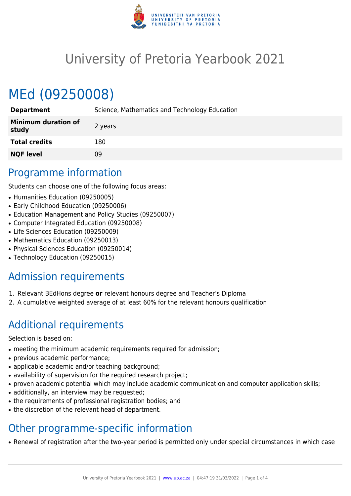

# University of Pretoria Yearbook 2021

# MEd (09250008)

| <b>Department</b>                   | Science, Mathematics and Technology Education |
|-------------------------------------|-----------------------------------------------|
| <b>Minimum duration of</b><br>study | 2 years                                       |
| <b>Total credits</b>                | 180                                           |
| <b>NQF level</b>                    | 09                                            |
|                                     |                                               |

## Programme information

Students can choose one of the following focus areas:

- Humanities Education (09250005)
- Early Childhood Education (09250006)
- Education Management and Policy Studies (09250007)
- Computer Integrated Education (09250008)
- Life Sciences Education (09250009)
- Mathematics Education (09250013)
- Physical Sciences Education (09250014)
- Technology Education (09250015)

# Admission requirements

- 1. Relevant BEdHons degree **or** relevant honours degree and Teacher's Diploma
- 2. A cumulative weighted average of at least 60% for the relevant honours qualification

# Additional requirements

Selection is based on:

- meeting the minimum academic requirements required for admission;
- previous academic performance;
- applicable academic and/or teaching background;
- availability of supervision for the required research project;
- proven academic potential which may include academic communication and computer application skills;
- additionally, an interview may be requested;
- the requirements of professional registration bodies; and
- the discretion of the relevant head of department.

# Other programme-specific information

• Renewal of registration after the two-year period is permitted only under special circumstances in which case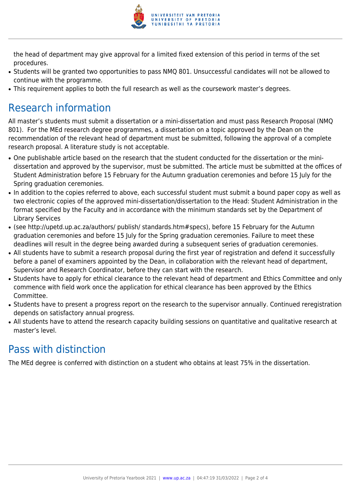

the head of department may give approval for a limited fixed extension of this period in terms of the set procedures.

- Students will be granted two opportunities to pass NMQ 801. Unsuccessful candidates will not be allowed to continue with the programme.
- This requirement applies to both the full research as well as the coursework master's degrees.

# Research information

All master's students must submit a dissertation or a mini-dissertation and must pass Research Proposal (NMQ 801). For the MEd research degree programmes, a dissertation on a topic approved by the Dean on the recommendation of the relevant head of department must be submitted, following the approval of a complete research proposal. A literature study is not acceptable.

- One publishable article based on the research that the student conducted for the dissertation or the minidissertation and approved by the supervisor, must be submitted. The article must be submitted at the offices of Student Administration before 15 February for the Autumn graduation ceremonies and before 15 July for the Spring graduation ceremonies.
- In addition to the copies referred to above, each successful student must submit a bound paper copy as well as two electronic copies of the approved mini-dissertation/dissertation to the Head: Student Administration in the format specified by the Faculty and in accordance with the minimum standards set by the Department of Library Services
- (see http://upetd.up.ac.za/authors/ publish/ standards.htm#specs), before 15 February for the Autumn graduation ceremonies and before 15 July for the Spring graduation ceremonies. Failure to meet these deadlines will result in the degree being awarded during a subsequent series of graduation ceremonies.
- All students have to submit a research proposal during the first year of registration and defend it successfully before a panel of examiners appointed by the Dean, in collaboration with the relevant head of department, Supervisor and Research Coordinator, before they can start with the research.
- Students have to apply for ethical clearance to the relevant head of department and Ethics Committee and only commence with field work once the application for ethical clearance has been approved by the Ethics Committee.
- Students have to present a progress report on the research to the supervisor annually. Continued reregistration depends on satisfactory annual progress.
- All students have to attend the research capacity building sessions on quantitative and qualitative research at master's level.

# Pass with distinction

The MEd degree is conferred with distinction on a student who obtains at least 75% in the dissertation.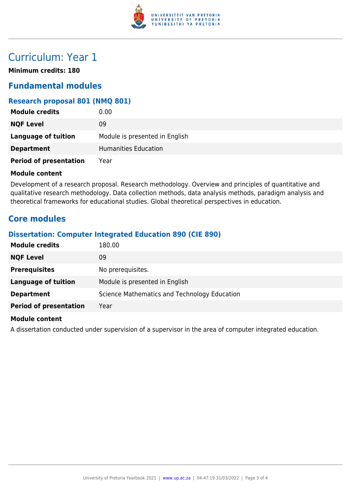

# Curriculum: Year 1

**Minimum credits: 180**

### **Fundamental modules**

### **Research proposal 801 (NMQ 801)**

| <b>Module credits</b>         | 0.00                           |
|-------------------------------|--------------------------------|
| <b>NQF Level</b>              | 09                             |
| <b>Language of tuition</b>    | Module is presented in English |
| <b>Department</b>             | Humanities Education           |
| <b>Period of presentation</b> | Year                           |

#### **Module content**

Development of a research proposal. Research methodology. Overview and principles of quantitative and qualitative research methodology. Data collection methods, data analysis methods, paradigm analysis and theoretical frameworks for educational studies. Global theoretical perspectives in education.

### **Core modules**

### **Dissertation: Computer Integrated Education 890 (CIE 890)**

| 180.00                                       |
|----------------------------------------------|
| 09                                           |
| No prerequisites.                            |
| Module is presented in English               |
| Science Mathematics and Technology Education |
| Year                                         |
|                                              |

#### **Module content**

A dissertation conducted under supervision of a supervisor in the area of computer integrated education.